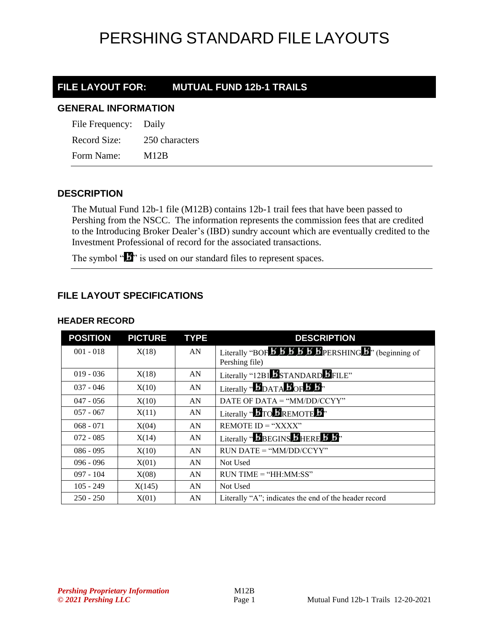## PERSHING STANDARD FILE LAYOUTS

## **FILE LAYOUT FOR: MUTUAL FUND 12b-1 TRAILS**

#### **GENERAL INFORMATION**

| File Frequency: Daily |                |
|-----------------------|----------------|
| Record Size:          | 250 characters |
| Form Name:            | M12B           |

### **DESCRIPTION**

The Mutual Fund 12b-1 file (M12B) contains 12b-1 trail fees that have been passed to Pershing from the NSCC. The information represents the commission fees that are credited to the Introducing Broker Dealer's (IBD) sundry account which are eventually credited to the Investment Professional of record for the associated transactions.

The symbol " $\mathbf{I}$ " is used on our standard files to represent spaces.

### **FILE LAYOUT SPECIFICATIONS**

| <b>POSITION</b> | <b>PICTURE</b> | <b>TYPE</b> | <b>DESCRIPTION</b>                                                                                                                               |
|-----------------|----------------|-------------|--------------------------------------------------------------------------------------------------------------------------------------------------|
| $001 - 018$     | X(18)          | AN          | Literally "BOF $\overline{B}$ $\overline{B}$ $\overline{B}$ $\overline{B}$ $\overline{B}$ $\overline{B}$ PERSHING $\overline{B}$ " (beginning of |
|                 |                |             | Pershing file)                                                                                                                                   |
| $019 - 036$     | X(18)          | AN          | Literally "12B1 STANDARD FILE"                                                                                                                   |
| $037 - 046$     | X(10)          | AN          | Literally " $\bm{5}$ DATA $\bm{5}$ OF $\bm{5}$ $\bm{5}$ "                                                                                        |
| $047 - 056$     | X(10)          | AN          | DATE OF DATA = " $MM/DD/CCYY"$                                                                                                                   |
| $057 - 067$     | X(11)          | AN          | Literally " $\bm{B}$ TO $\bm{B}$ REMOTE $\bm{B}$ "                                                                                               |
| $068 - 071$     | X(04)          | AN          | REMOTE $ID = "XXX"$                                                                                                                              |
| $072 - 085$     | X(14)          | AN          | Literally " $\mathbf{B}$ BEGINS $\mathbf{B}$ HERE $\mathbf{B}$ $\mathbf{B}$ "                                                                    |
| $086 - 095$     | X(10)          | AN          | $RUN\ DATE = "MM/DD/CCYY"$                                                                                                                       |
| $096 - 096$     | X(01)          | AN          | Not Used                                                                                                                                         |
| $097 - 104$     | X(08)          | AN          | $RUN TIME = "HH:MM:SS"$                                                                                                                          |
| $105 - 249$     | X(145)         | AN          | Not Used                                                                                                                                         |
| $250 - 250$     | X(01)          | AN          | Literally "A"; indicates the end of the header record                                                                                            |

#### **HEADER RECORD**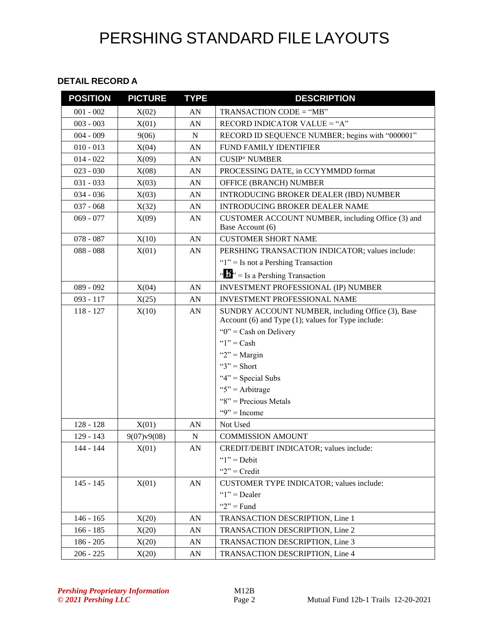## PERSHING STANDARD FILE LAYOUTS

#### **DETAIL RECORD A**

| <b>POSITION</b> | <b>PICTURE</b> | <b>TYPE</b>      | <b>DESCRIPTION</b>                                                                                                                                                                          |
|-----------------|----------------|------------------|---------------------------------------------------------------------------------------------------------------------------------------------------------------------------------------------|
| $001 - 002$     | X(02)          | AN               | TRANSACTION CODE = "MB"                                                                                                                                                                     |
| $003 - 003$     | X(01)          | AN               | RECORD INDICATOR VALUE = "A"                                                                                                                                                                |
| $004 - 009$     | 9(06)          | ${\bf N}$        | RECORD ID SEQUENCE NUMBER; begins with "000001"                                                                                                                                             |
| $010 - 013$     | X(04)          | AN               | FUND FAMILY IDENTIFIER                                                                                                                                                                      |
| $014 - 022$     | X(09)          | AN               | <b>CUSIP<sup>®</sup></b> NUMBER                                                                                                                                                             |
| $023 - 030$     | X(08)          | AN               | PROCESSING DATE, in CCYYMMDD format                                                                                                                                                         |
| $031 - 033$     | X(03)          | AN               | OFFICE (BRANCH) NUMBER                                                                                                                                                                      |
| $034 - 036$     | X(03)          | AN               | INTRODUCING BROKER DEALER (IBD) NUMBER                                                                                                                                                      |
| $037 - 068$     | X(32)          | AN               | <b>INTRODUCING BROKER DEALER NAME</b>                                                                                                                                                       |
| $069 - 077$     | X(09)          | AN               | CUSTOMER ACCOUNT NUMBER, including Office (3) and<br>Base Account (6)                                                                                                                       |
| $078 - 087$     | X(10)          | AN               | <b>CUSTOMER SHORT NAME</b>                                                                                                                                                                  |
| $088 - 088$     | X(01)          | AN               | PERSHING TRANSACTION INDICATOR; values include:                                                                                                                                             |
|                 |                |                  | " $1$ " = Is not a Pershing Transaction                                                                                                                                                     |
|                 |                |                  | " $\mathbf{J}$ " = Is a Pershing Transaction                                                                                                                                                |
| $089 - 092$     | X(04)          | AN               | INVESTMENT PROFESSIONAL (IP) NUMBER                                                                                                                                                         |
| $093 - 117$     | X(25)          | AN               | INVESTMENT PROFESSIONAL NAME                                                                                                                                                                |
| $118 - 127$     | X(10)          | AN               | SUNDRY ACCOUNT NUMBER, including Office (3), Base<br>Account (6) and Type (1); values for Type include:<br>" $0$ " = Cash on Delivery<br>" $1"$ = Cash<br>" $2"$ = Margin<br>" $3"$ = Short |
|                 |                |                  | " $4$ " = Special Subs                                                                                                                                                                      |
|                 |                |                  | " $5$ " = Arbitrage                                                                                                                                                                         |
|                 |                |                  | " $8$ " = Precious Metals                                                                                                                                                                   |
|                 |                |                  | " $9$ " = Income                                                                                                                                                                            |
| $128 - 128$     | X(01)          | AN               | Not Used                                                                                                                                                                                    |
| 129 - 143       | 9(07)v9(08)    | ${\bf N}$        | <b>COMMISSION AMOUNT</b>                                                                                                                                                                    |
| 144 - 144       | X(01)          | ${\bf A}{\bf N}$ | CREDIT/DEBIT INDICATOR; values include:                                                                                                                                                     |
|                 |                |                  | " $1"$ = Debit                                                                                                                                                                              |
|                 |                |                  | " $2"$ = Credit"                                                                                                                                                                            |
| $145 - 145$     | X(01)          | AN               | CUSTOMER TYPE INDICATOR; values include:                                                                                                                                                    |
|                 |                |                  | " $1$ " = Dealer                                                                                                                                                                            |
|                 |                |                  | " $2"$ = Fund                                                                                                                                                                               |
| $146 - 165$     | X(20)          | AN               | TRANSACTION DESCRIPTION, Line 1                                                                                                                                                             |
| $166 - 185$     | X(20)          | AN               | TRANSACTION DESCRIPTION, Line 2                                                                                                                                                             |
| $186 - 205$     | X(20)          | AN               | TRANSACTION DESCRIPTION, Line 3                                                                                                                                                             |
| $206 - 225$     | X(20)          | AN               | TRANSACTION DESCRIPTION, Line 4                                                                                                                                                             |